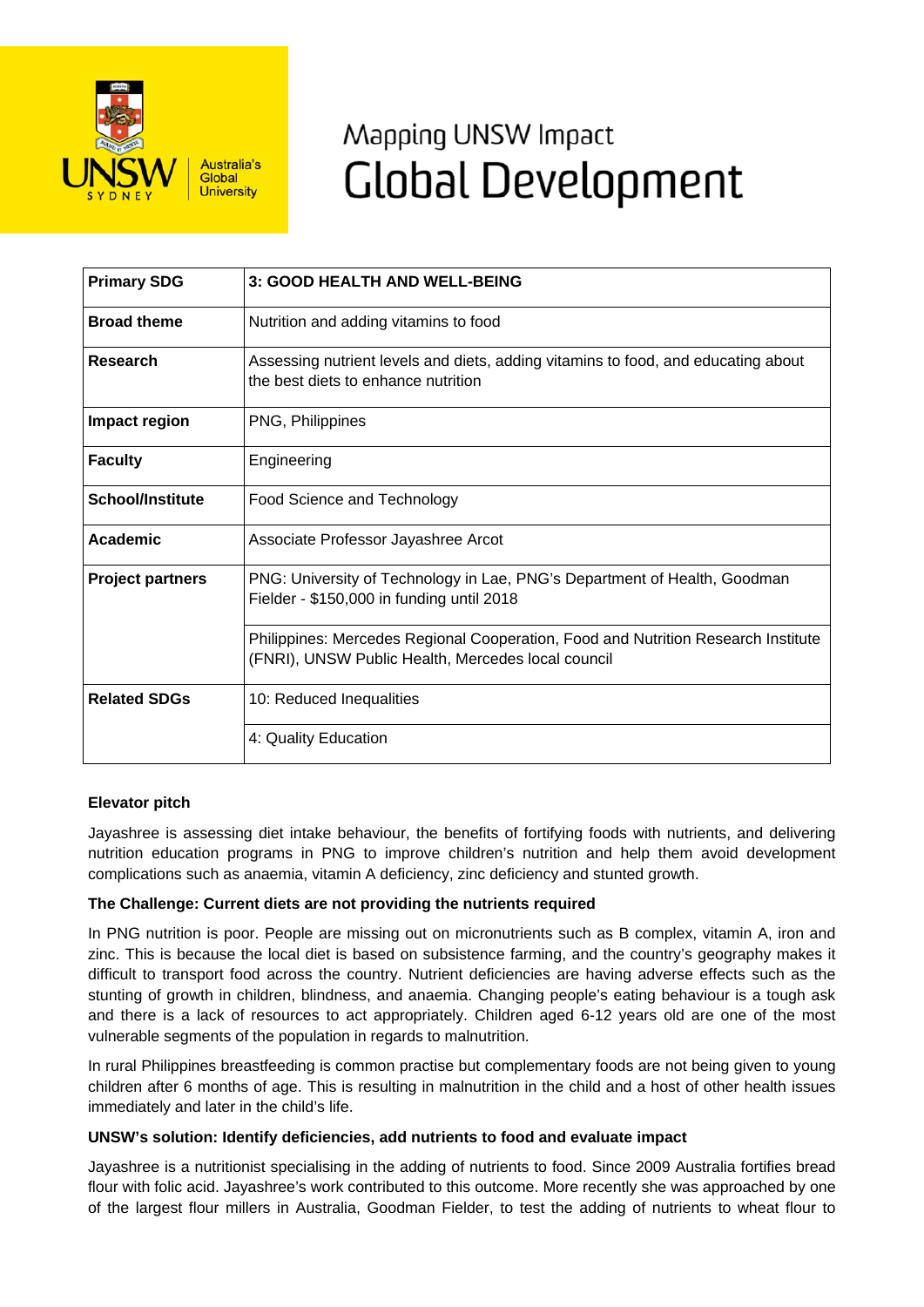

# Mapping UNSW Impact **Global Development**

| <b>Primary SDG</b>      | 3: GOOD HEALTH AND WELL-BEING                                                                                                           |
|-------------------------|-----------------------------------------------------------------------------------------------------------------------------------------|
| <b>Broad theme</b>      | Nutrition and adding vitamins to food                                                                                                   |
| Research                | Assessing nutrient levels and diets, adding vitamins to food, and educating about<br>the best diets to enhance nutrition                |
| Impact region           | PNG, Philippines                                                                                                                        |
| <b>Faculty</b>          | Engineering                                                                                                                             |
| <b>School/Institute</b> | Food Science and Technology                                                                                                             |
| Academic                | Associate Professor Jayashree Arcot                                                                                                     |
| <b>Project partners</b> | PNG: University of Technology in Lae, PNG's Department of Health, Goodman<br>Fielder - \$150,000 in funding until 2018                  |
|                         | Philippines: Mercedes Regional Cooperation, Food and Nutrition Research Institute<br>(FNRI), UNSW Public Health, Mercedes local council |
| <b>Related SDGs</b>     | 10: Reduced Inequalities                                                                                                                |
|                         | 4: Quality Education                                                                                                                    |

# **Elevator pitch**

Jayashree is assessing diet intake behaviour, the benefits of fortifying foods with nutrients, and delivering nutrition education programs in PNG to improve children's nutrition and help them avoid development complications such as anaemia, vitamin A deficiency, zinc deficiency and stunted growth.

# **The Challenge: Current diets are not providing the nutrients required**

In PNG nutrition is poor. People are missing out on micronutrients such as B complex, vitamin A, iron and zinc. This is because the local diet is based on subsistence farming, and the country's geography makes it difficult to transport food across the country. Nutrient deficiencies are having adverse effects such as the stunting of growth in children, blindness, and anaemia. Changing people's eating behaviour is a tough ask and there is a lack of resources to act appropriately. Children aged 6-12 years old are one of the most vulnerable segments of the population in regards to malnutrition.

In rural Philippines breastfeeding is common practise but complementary foods are not being given to young children after 6 months of age. This is resulting in malnutrition in the child and a host of other health issues immediately and later in the child's life.

# **UNSW's solution: Identify deficiencies, add nutrients to food and evaluate impact**

Jayashree is a nutritionist specialising in the adding of nutrients to food. Since 2009 Australia fortifies bread flour with folic acid. Jayashree's work contributed to this outcome. More recently she was approached by one of the largest flour millers in Australia, Goodman Fielder, to test the adding of nutrients to wheat flour to